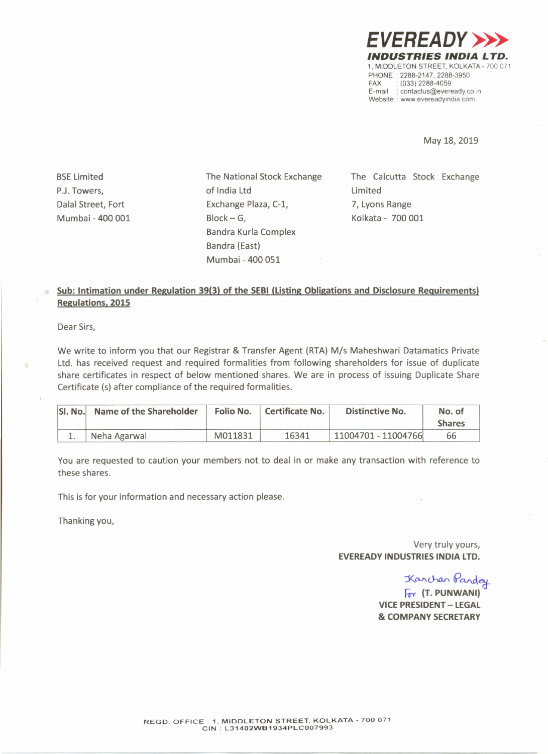*EVEREADY»> INDUSTRIES INDIA LTD.* 1, MIDDLETON STREET, KOLKATA - 700 071 PHONE: 2288-2147, 2288-3950<br>FAX: : (033) 2288-4059  $(033)$  2288-4059 E-mail: contactus@eveready.co.in Website : www.evereadyindia.com

May 18,2019

BSELimited PJ. Towers, Dalal Street, Fort Mumbai - 400 001 The National Stock Exchange of India ltd Exchange Plaza, C-l, Block-G, Bandra Kurla Complex Bandra (East) Mumbai - 400 051

The Calcutta Stock Exchange Limited 7, Lyons Range Kolkata - 700 001

## **Sub: Intimation under Regulation 39(3) of the SEBI (Listing Obligations and Disclosure Requirements) Regulations. 2015**

Dear Sirs,

We write to inform you that our Registrar & Transfer Agent (RTA) *Mis* Maheshwari Datamatics Private Ltd. has received request and required formalities from following shareholders for issue of duplicate share certificates in respect of below mentioned shares. We are in process of issuing Duplicate Share Certificate (s) after compliance of the required formalities.

| SI. No. | Name of the Shareholder |         | Folio No.   Certificate No. | <b>Distinctive No.</b> | No. of<br><b>Shares</b> |
|---------|-------------------------|---------|-----------------------------|------------------------|-------------------------|
|         | Neha Agarwal            | M011831 | 16341                       | 11004701 - 11004766    | 66                      |

You are requested to caution your members not to deal in or make any transaction with reference to these shares.

This is for your information and necessary action please.

Thanking you,

## Very truly yours, **EVEREADY INDUSTRIES INDIA LTD.**

Kanchan Pa

*ITr* **(T. PUNWANI) VICE PRESIDENT - LEGAL & COMPANY SECRETARY**